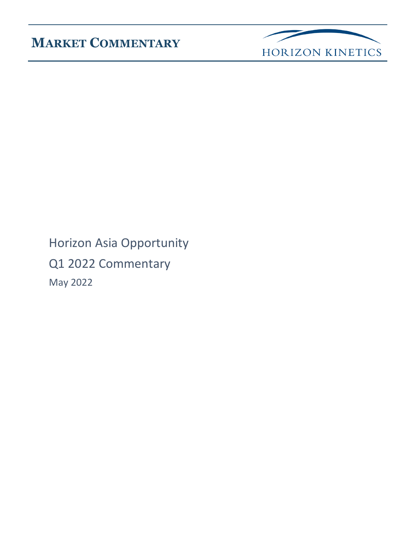

Horizon Asia Opportunity Q1 2022 Commentary May 2022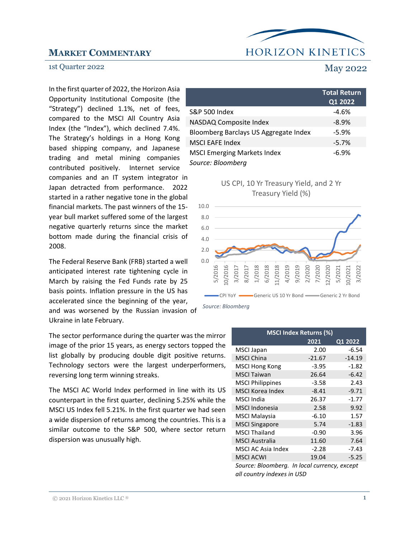

#### 1st Quarter 2022 May 2022

In the first quarter of 2022, the Horizon Asia Opportunity Institutional Composite (the "Strategy") declined 1.1%, net of fees, compared to the MSCI All Country Asia Index (the "Index"), which declined 7.4%. The Strategy's holdings in a Hong Kong based shipping company, and Japanese trading and metal mining companies contributed positively. Internet service companies and an IT system integrator in Japan detracted from performance. 2022 started in a rather negative tone in the global financial markets. The past winners of the 15 year bull market suffered some of the largest negative quarterly returns since the market bottom made during the financial crisis of 2008.

The Federal Reserve Bank (FRB) started a well anticipated interest rate tightening cycle in March by raising the Fed Funds rate by 25 basis points. Inflation pressure in the US has accelerated since the beginning of the year, and was worsened by the Russian invasion of Ukraine in late February.

The sector performance during the quarter was the mirror image of the prior 15 years, as energy sectors topped the list globally by producing double digit positive returns. Technology sectors were the largest underperformers, reversing long term winning streaks.

The MSCI AC World Index performed in line with its US counterpart in the first quarter, declining 5.25% while the MSCI US Index fell 5.21%. In the first quarter we had seen a wide dispersion of returns among the countries. This is a similar outcome to the S&P 500, where sector return dispersion was unusually high.

### **Total Return Q1 2022**  S&P 500 Index -4.6% NASDAQ Composite Index -8.9% Bloomberg Barclays US Aggregate Index -5.9% MSCI EAFE Index -5.7% MSCI Emerging Markets Index -6.9% *Source: Bloomberg*





| <b>MSCI Index Returns (%)</b>                                              |          |          |  |  |  |  |  |
|----------------------------------------------------------------------------|----------|----------|--|--|--|--|--|
|                                                                            | 2021     | Q1 2022  |  |  |  |  |  |
| <b>MSCI Japan</b>                                                          | 2.00     | $-6.54$  |  |  |  |  |  |
| <b>MSCI China</b>                                                          | $-21.67$ | $-14.19$ |  |  |  |  |  |
| <b>MSCI Hong Kong</b>                                                      | $-3.95$  | $-1.82$  |  |  |  |  |  |
| <b>MSCI Taiwan</b>                                                         | 26.64    | $-6.42$  |  |  |  |  |  |
| <b>MSCI Philippines</b>                                                    | $-3.58$  | 2.43     |  |  |  |  |  |
| <b>MSCI Korea Index</b>                                                    | $-8.41$  | $-9.71$  |  |  |  |  |  |
| MSCI India                                                                 | 26.37    | $-1.77$  |  |  |  |  |  |
| <b>MSCI Indonesia</b>                                                      | 2.58     | 9.92     |  |  |  |  |  |
| <b>MSCI Malaysia</b>                                                       | $-6.10$  | 1.57     |  |  |  |  |  |
| <b>MSCI Singapore</b>                                                      | 5.74     | $-1.83$  |  |  |  |  |  |
| <b>MSCI Thailand</b>                                                       | $-0.90$  | 3.96     |  |  |  |  |  |
| <b>MSCI Australia</b>                                                      | 11.60    | 7.64     |  |  |  |  |  |
| <b>MSCI AC Asia Index</b>                                                  | $-2.28$  | $-7.43$  |  |  |  |  |  |
| <b>MSCI ACWI</b>                                                           | 19.04    | $-5.25$  |  |  |  |  |  |
| Source: Bloomberg. In local currency, except<br>all country indexes in USD |          |          |  |  |  |  |  |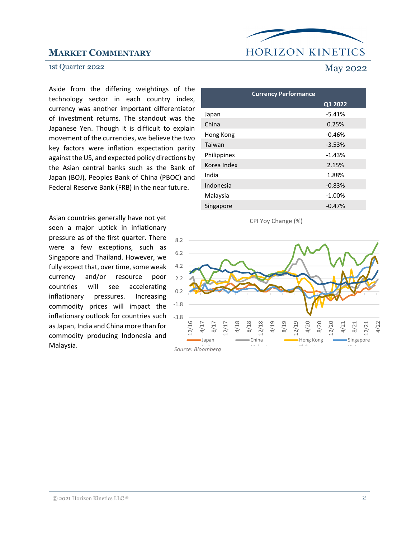## **HORIZON KINETICS**

#### 1st Quarter 2022 May 2022

Aside from the differing weightings of the technology sector in each country index, currency was another important differentiator of investment returns. The standout was the Japanese Yen. Though it is difficult to explain movement of the currencies, we believe the two key factors were inflation expectation parity against the US, and expected policy directions by the Asian central banks such as the Bank of Japan (BOJ), Peoples Bank of China (PBOC) and Federal Reserve Bank (FRB) in the near future.

Asian countries generally have not yet seen a major uptick in inflationary pressure as of the first quarter. There were a few exceptions, such as Singapore and Thailand. However, we fully expect that, over time, some weak currency and/or resource poor countries will see accelerating inflationary pressures. Increasing commodity prices will impact the inflationary outlook for countries such as Japan, India and China more than for commodity producing Indonesia and Malaysia.

### **Currency Performance Q1 2022** Japan -5.41% China 0.25% Hong Kong -0.46% Taiwan -3.53% Philippines -1.43% Korea Index 2.15% India 1.88% Indonesia -0.83% Malaysia **-1.00%** Singapore -0.47%



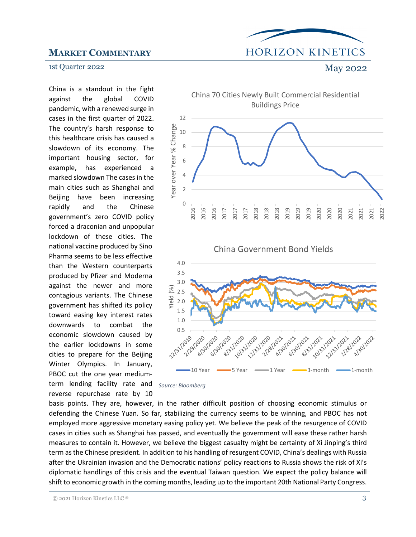## **HORIZON KINETICS**

#### 1st Quarter 2022 May 2022

China is a standout in the fight against the global COVID pandemic, with a renewed surge in cases in the first quarter of 2022. The country's harsh response to this healthcare crisis has caused a slowdown of its economy. The important housing sector, for example, has experienced a marked slowdown The cases in the main cities such as Shanghai and Beijing have been increasing rapidly and the Chinese government's zero COVID policy forced a draconian and unpopular lockdown of these cities. The national vaccine produced by Sino Pharma seems to be less effective than the Western counterparts produced by Pfizer and Moderna against the newer and more contagious variants. The Chinese government has shifted its policy toward easing key interest rates downwards to combat the economic slowdown caused by the earlier lockdowns in some cities to prepare for the Beijing Winter Olympics. In January, PBOC cut the one year mediumterm lending facility rate and reverse repurchase rate by 10







basis points. They are, however, in the rather difficult position of choosing economic stimulus or defending the Chinese Yuan. So far, stabilizing the currency seems to be winning, and PBOC has not employed more aggressive monetary easing policy yet. We believe the peak of the resurgence of COVID cases in cities such as Shanghai has passed, and eventually the government will ease these rather harsh measures to contain it. However, we believe the biggest casualty might be certainty of Xi Jinping's third term as the Chinese president. In addition to his handling of resurgent COVID, China's dealings with Russia after the Ukrainian invasion and the Democratic nations' policy reactions to Russia shows the risk of Xi's diplomatic handlings of this crisis and the eventual Taiwan question. We expect the policy balance will shift to economic growth in the coming months, leading up to the important 20th National Party Congress.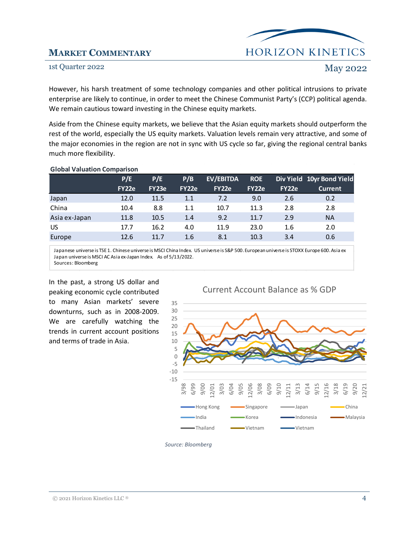

#### 1st Quarter 2022 May 2022

However, his harsh treatment of some technology companies and other political intrusions to private enterprise are likely to continue, in order to meet the Chinese Communist Party's (CCP) political agenda. We remain cautious toward investing in the Chinese equity markets.

Aside from the Chinese equity markets, we believe that the Asian equity markets should outperform the rest of the world, especially the US equity markets. Valuation levels remain very attractive, and some of the major economies in the region are not in sync with US cycle so far, giving the regional central banks much more flexibility.

| <b>OIUDAI VAIUALIUII CUIIIDAIISUII</b> |              |       |       |           |            |       |                           |  |  |
|----------------------------------------|--------------|-------|-------|-----------|------------|-------|---------------------------|--|--|
|                                        | P/E          | P/E   | P/B   | EV/EBITDA | <b>ROE</b> |       | Div Yield 10yr Bond Yield |  |  |
|                                        | <b>FY22e</b> | FY23e | FY22e | FY22e     | FY22e      | FY22e | <b>Current</b>            |  |  |
| Japan                                  | 12.0         | 11.5  | 1.1   | 7.2       | 9.0        | 2.6   | 0.2                       |  |  |
| China                                  | 10.4         | 8.8   | 1.1   | 10.7      | 11.3       | 2.8   | 2.8                       |  |  |
| Asia ex-Japan                          | 11.8         | 10.5  | 1.4   | 9.2       | 11.7       | 2.9   | <b>NA</b>                 |  |  |
| <b>US</b>                              | 17.7         | 16.2  | 4.0   | 11.9      | 23.0       | 1.6   | 2.0                       |  |  |
| Europe                                 | 12.6         | 11.7  | 1.6   | 8.1       | 10.3       | 3.4   | 0.6                       |  |  |
|                                        |              |       |       |           |            |       |                           |  |  |

#### **Global Valuation Comparison**

Japanese universe is TSE 1. Chinese universe is MSCI China Index. US universe is S&P 500. European universe is STOXX Europe 600. Asia ex Japan universe is MSCI AC Asia ex-Japan Index. As of 5/13/2022. Sources: Bloomberg

In the past, a strong US dollar and peaking economic cycle contributed to many Asian markets' severe downturns, such as in 2008-2009. We are carefully watching the trends in current account positions and terms of trade in Asia.

#### Current Account Balance as % GDP



#### *Source: Bloomberg*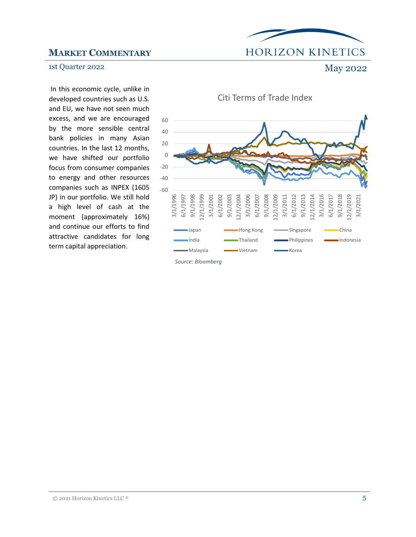# **HORIZON KINETICS**

#### 1st Quarter 2022 May 2022

In this economic cycle, unlike in developed countries such as U.S. and EU, we have not seen much excess, and we are encouraged by the more sensible central bank policies in many Asian countries. In the last 12 months, we have shifted our portfolio focus from consumer companies to energy and other resources companies such as INPEX (1605 JP) in our portfolio. We still hold a high level of cash at the moment (approximately 16%) and continue our efforts to find attractive candidates for long term capital appreciation.